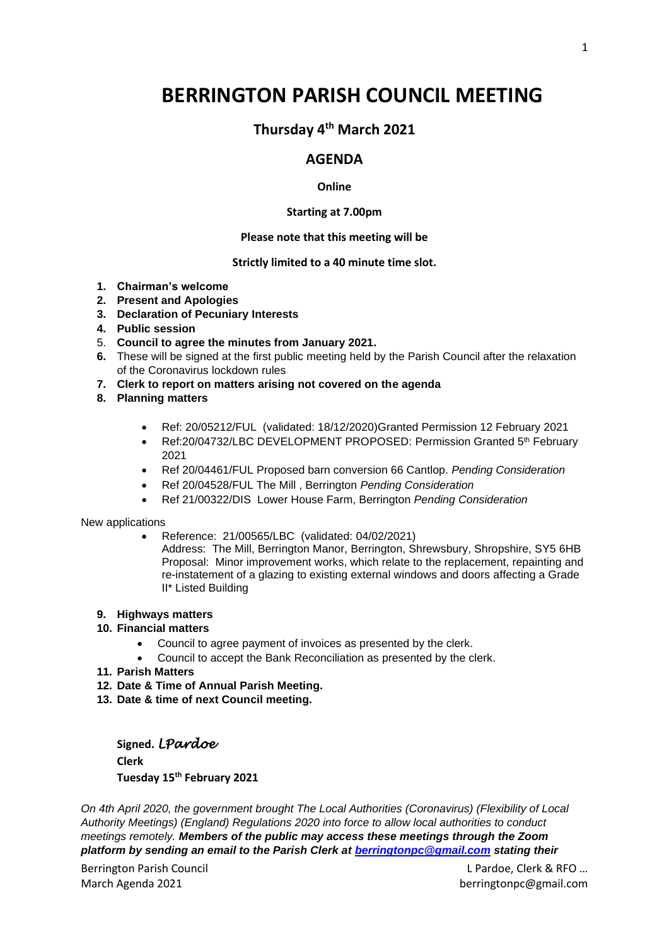# **BERRINGTON PARISH COUNCIL MEETING**

## **Thursday 4 th March 2021**

### **AGENDA**

#### **Online**

#### **Starting at 7.00pm**

#### **Please note that this meeting will be**

#### **Strictly limited to a 40 minute time slot.**

- **1. Chairman's welcome**
- **2. Present and Apologies**
- **3. Declaration of Pecuniary Interests**
- **4. Public session**
- 5. **Council to agree the minutes from January 2021.**
- **6.** These will be signed at the first public meeting held by the Parish Council after the relaxation of the Coronavirus lockdown rules
- **7. Clerk to report on matters arising not covered on the agenda**
- **8. Planning matters**
	- Ref: 20/05212/FUL (validated: 18/12/2020)Granted Permission 12 February 2021
	- Ref:20/04732/LBC DEVELOPMENT PROPOSED: Permission Granted 5<sup>th</sup> February 2021
	- Ref 20/04461/FUL Proposed barn conversion 66 Cantlop. *Pending Consideration*
	- Ref 20/04528/FUL The Mill , Berrington *Pending Consideration*
	- Ref 21/00322/DIS Lower House Farm, Berrington *Pending Consideration*

New applications

- Reference: 21/00565/LBC (validated: 04/02/2021)
	- Address: The Mill, Berrington Manor, Berrington, Shrewsbury, Shropshire, SY5 6HB Proposal: Minor improvement works, which relate to the replacement, repainting and re-instatement of a glazing to existing external windows and doors affecting a Grade II\* Listed Building

#### **9. Highways matters**

- **10. Financial matters**
	- Council to agree payment of invoices as presented by the clerk.
	- Council to accept the Bank Reconciliation as presented by the clerk.
- **11. Parish Matters**
- **12. Date & Time of Annual Parish Meeting.**
- **13. Date & time of next Council meeting.**

**Signed.** *LPardoe*  **Clerk Tuesday 15 th February 2021**

*On 4th April 2020, the government brought The Local Authorities (Coronavirus) (Flexibility of Local Authority Meetings) (England) Regulations 2020 into force to allow local authorities to conduct meetings remotely. Members of the public may access these meetings through the Zoom platform by sending an email to the Parish Clerk at [berringtonpc@gmail.com](mailto:berringtonpc@gmail.com) stating their* 

Berrington Parish Council **Example 20 and Council Leapers** 20 and 20 and 20 and 20 and 20 and 20 and 20 and 20 and 20 and 20 and 20 and 20 and 20 and 20 and 20 and 20 and 20 and 20 and 20 and 20 and 20 and 20 and 20 and 20 March Agenda 2021 berringtonpc@gmail.com